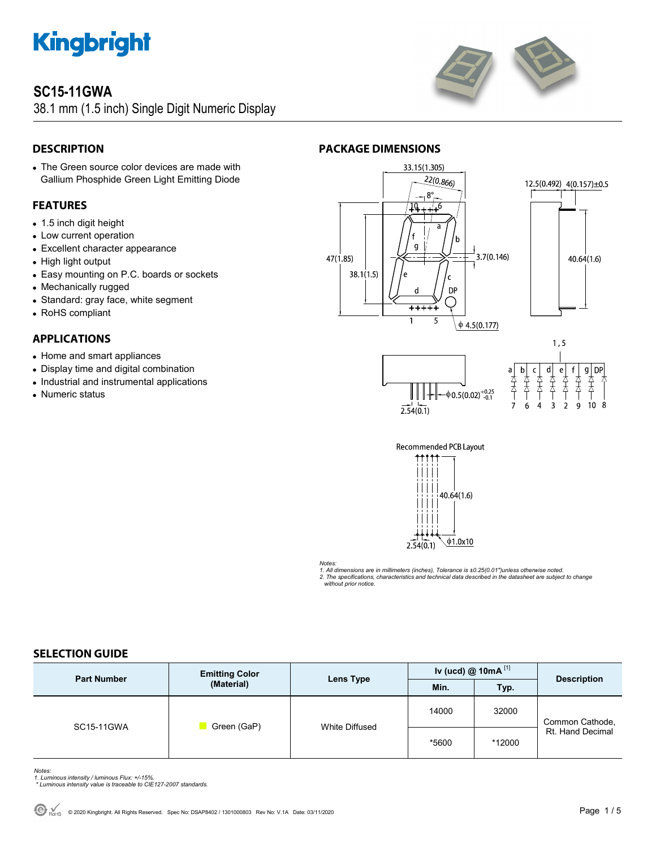

### **SC15-11GWA**

38.1 mm (1.5 inch) Single Digit Numeric Display



### **DESCRIPTION**

 The Green source color devices are made with Gallium Phosphide Green Light Emitting Diode

### **FEATURES**

- 1.5 inch digit height
- Low current operation
- Excellent character appearance
- High light output
- Easy mounting on P.C. boards or sockets
- Mechanically rugged
- Standard: gray face, white segment
- RoHS compliant

### **APPLICATIONS**

- Home and smart appliances
- Display time and digital combination
- Industrial and instrumental applications
- Numeric status



<del>++++</del> 5

 $\mathbf 1$ 

**PACKAGE DIMENSIONS** 









*Notes:* 

*1. All dimensions are in millimeters (inches), Tolerance is ±0.25(0.01")unless otherwise noted. 2. The specifications, characteristics and technical data described in the datasheet are subject to change without prior notice.* 

### **SELECTION GUIDE**

| <b>Part Number</b> | <b>Emitting Color</b><br>(Material) | <b>Lens Type</b> | Iv (ucd) $@ 10mA$ <sup>[1]</sup> |        | <b>Description</b>                  |
|--------------------|-------------------------------------|------------------|----------------------------------|--------|-------------------------------------|
|                    |                                     |                  | Min.                             | Typ.   |                                     |
| SC15-11GWA         | Green (GaP)                         | White Diffused   | 14000                            | 32000  | Common Cathode,<br>Rt. Hand Decimal |
|                    |                                     |                  | *5600                            | *12000 |                                     |

*Notes: 1. Luminous intensity / luminous Flux: +/-15%.* 

 *\* Luminous intensity value is traceable to CIE127-2007 standards.*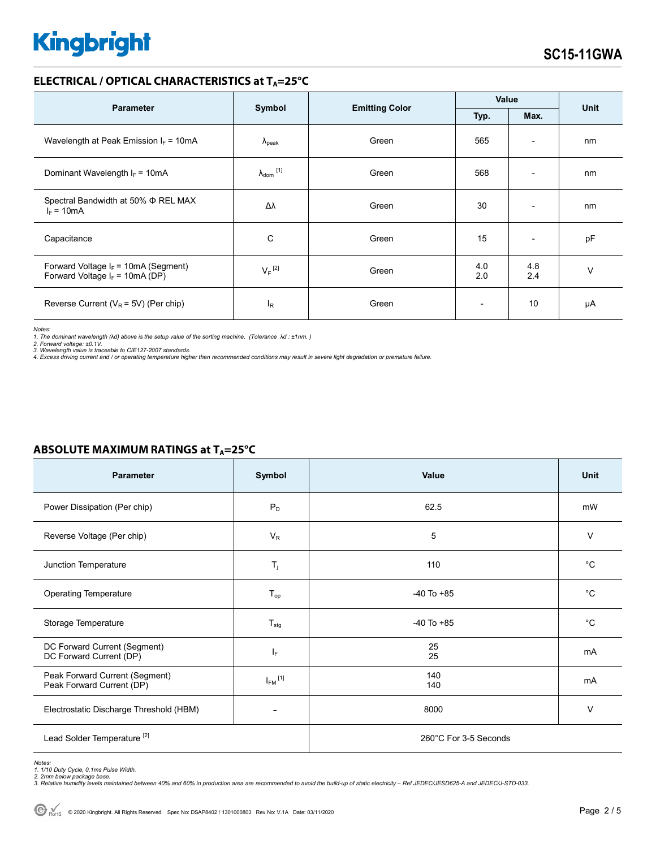### **ELECTRICAL / OPTICAL CHARACTERISTICS at TA=25°C**

| <b>Parameter</b>                                                            |                              |                       | Value                    |                          | <b>Unit</b> |
|-----------------------------------------------------------------------------|------------------------------|-----------------------|--------------------------|--------------------------|-------------|
|                                                                             | Symbol                       | <b>Emitting Color</b> | Typ.<br>Max.             |                          |             |
| Wavelength at Peak Emission $I_F = 10mA$                                    | $\Lambda_{\rm peak}$         | Green                 | 565                      | $\overline{\phantom{a}}$ | nm          |
| Dominant Wavelength $I_F = 10mA$                                            | $\lambda_{\mathsf{dom}}$ [1] | Green                 | 568                      | $\overline{\phantom{0}}$ | nm          |
| Spectral Bandwidth at 50% $\Phi$ REL MAX<br>$I_F = 10mA$                    | Δλ                           | Green                 | 30                       | $\overline{\phantom{a}}$ | nm          |
| Capacitance                                                                 | C                            | Green                 | 15                       | $\overline{\phantom{a}}$ | pF          |
| Forward Voltage $I_F$ = 10mA (Segment)<br>Forward Voltage $I_F$ = 10mA (DP) | $V_F$ <sup>[2]</sup>         | Green                 | 4.0<br>2.0               | 4.8<br>2.4               | $\vee$      |
| Reverse Current ( $V_R$ = 5V) (Per chip)                                    | <sup>I</sup> R               | Green                 | $\overline{\phantom{a}}$ | 10                       | μA          |

*Notes:* 

*1. The dominant wavelength (*λ*d) above is the setup value of the sorting machine. (Tolerance* λ*d : ±1nm. )* 

*2. Forward voltage: ±0.1V. 3. Wavelength value is traceable to CIE127-2007 standards.* 

*4. Excess driving current and / or operating temperature higher than recommended conditions may result in severe light degradation or premature failure.* 

| <b>Parameter</b>                                            | Symbol                  | Value                 | <b>Unit</b> |  |
|-------------------------------------------------------------|-------------------------|-----------------------|-------------|--|
| Power Dissipation (Per chip)                                | $P_D$                   | 62.5                  | mW          |  |
| Reverse Voltage (Per chip)                                  | $V_R$                   | 5                     | $\vee$      |  |
| Junction Temperature                                        | $T_j$                   | 110                   | $^{\circ}C$ |  |
| <b>Operating Temperature</b>                                | $T_{op}$                | $-40$ To $+85$        | $^{\circ}C$ |  |
| Storage Temperature                                         | $T_{\text{stg}}$        | $-40$ To $+85$        | $^{\circ}C$ |  |
| DC Forward Current (Segment)<br>DC Forward Current (DP)     | IF.                     | 25<br>25              | mA          |  |
| Peak Forward Current (Segment)<br>Peak Forward Current (DP) | $I_{FM}$ <sup>[1]</sup> | 140<br>140            | mA          |  |
| Electrostatic Discharge Threshold (HBM)                     |                         | 8000                  | $\vee$      |  |
| Lead Solder Temperature <sup>[2]</sup>                      |                         | 260°C For 3-5 Seconds |             |  |

### **ABSOLUTE MAXIMUM RATINGS at T<sub>A</sub>=25°C**

Notes:<br>1. 1/10 Duty Cycle, 0.1ms Pulse Width.<br>2. 2mm below package base.<br>3. Relative humidity levels maintained between 40% and 60% in production area are recommended to avoid the build-up of static electricity – Ref JEDEC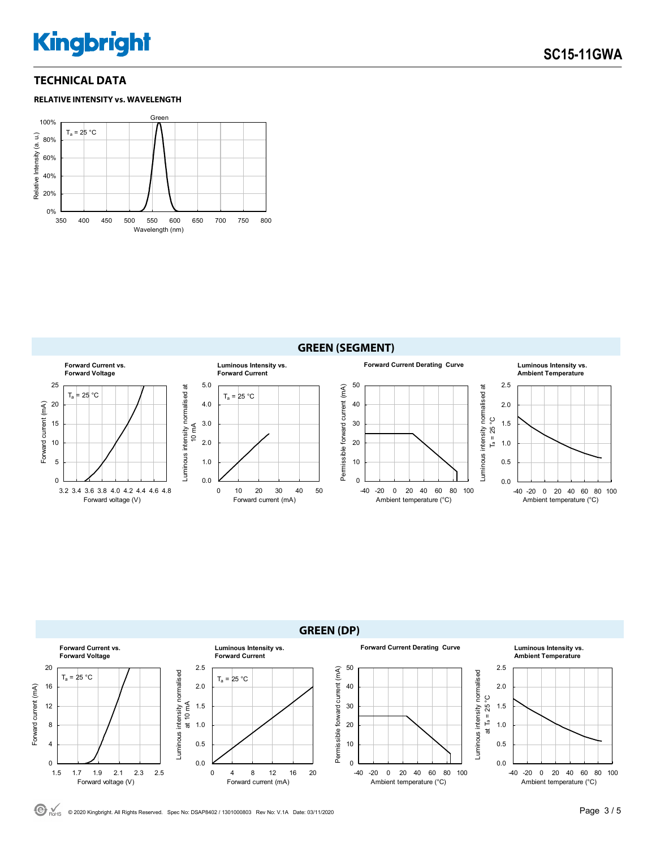### **TECHNICAL DATA**







**GREEN (DP) Forward Current vs. Luminous Intensity vs. Forward Current Derating Curve Luminous Intensity vs. Forward Voltage Forward Current Ambient Temperature** 20 2.5 50 2.5 Permissible forward current (mA) Permissible forward current (mA) Luminous intensity normalised Luminous intensity normalised Luminous intensity normalised Luminous intensity normalised  $T_a = 25 °C$  $T_a = 25 °C$ 16 2.0 40 2.0 Forward current (mA) Forward current (mA) at Ta = 25 °C at 10 mA 12 30 1.5 1.5 8 1.0 20 1.0 10 0.5 4 0.5 0 0.0 0 0.0 1.5 1.7 1.9 2.1 2.3 2.5 -40 -20 0 20 40 60 80 100 -40 -20 0 20 40 60 80 100 0 4 8 12 16 20 Forward voltage (V) Forward current (mA) Ambient temperature (°C) Ambient temperature (°C)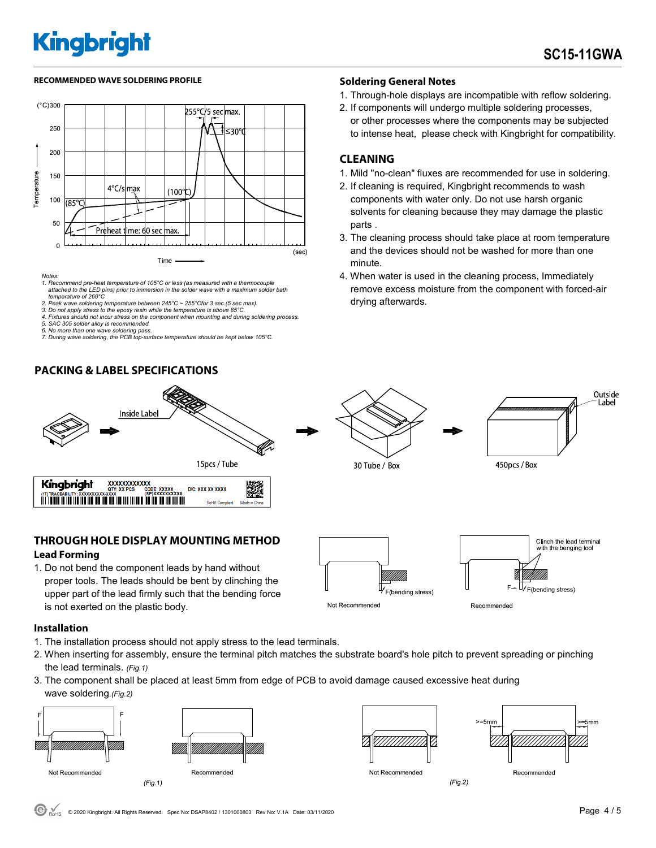1. Through-hole displays are incompatible with reflow soldering. 2. If components will undergo multiple soldering processes, or other processes where the components may be subjected to intense heat, please check with Kingbright for compatibility.

1. Mild "no-clean" fluxes are recommended for use in soldering. 2. If cleaning is required, Kingbright recommends to wash components with water only. Do not use harsh organic solvents for cleaning because they may damage the plastic

3. The cleaning process should take place at room temperature and the devices should not be washed for more than one

4. When water is used in the cleaning process, Immediately remove excess moisture from the component with forced-air

#### RECOMMENDED WAVE SOLDERING PROFILE **A CONTACT A CONTACT SOLDERING PROFILE** SOLDERING PROFILE



- *Notes: 1. Recommend pre-heat temperature of 105°C or less (as measured with a thermocouple attached to the LED pins) prior to immersion in the solder wave with a maximum solder bath temperature of 260°C*
- *2. Peak wave soldering temperature between 245°C ~ 255°Cfor 3 sec (5 sec max).*
- *3. Do not apply stress to the epoxy resin while the temperature is above 85°C.*
- *4. Fixtures should not incur stress on the component when mounting and during soldering process.*
- *5. SAC 305 solder alloy is recommended. 6. No more than one wave soldering pass.*
- *7. During wave soldering, the PCB top-surface temperature should be kept below 105°C.*

### **PACKING & LABEL SPECIFICATIONS**



### **THROUGH HOLE DISPLAY MOUNTING METHOD Lead Forming**

1. Do not bend the component leads by hand without proper tools. The leads should be bent by clinching the upper part of the lead firmly such that the bending force is not exerted on the plastic body.

### Clinch the lead terminal  $F_{\rightarrow}$ F(bending stress) F(bending stress)

Recommended

#### **Installation**

- 1. The installation process should not apply stress to the lead terminals.
- 2. When inserting for assembly, ensure the terminal pitch matches the substrate board's hole pitch to prevent spreading or pinching the lead terminals. *(Fig.1)*

Not Recommended

3. The component shall be placed at least 5mm from edge of PCB to avoid damage caused excessive heat during wave soldering.*(Fig.2)*







Not Recommended

 $(Fig.2)$ 





drying afterwards.

**CLEANING** 

parts .

minute.



ith the benging tool